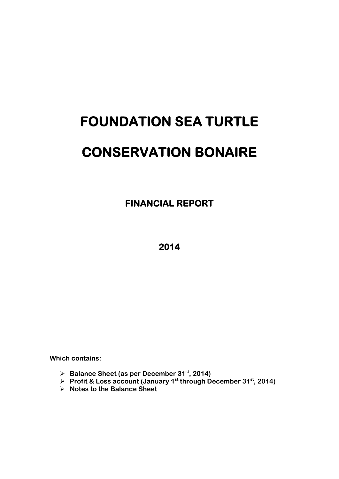# **FOUNDATION SEA TURTLE CONSERVATION BONAIRE**

 **FINANCIAL REPORT** 

**2014** 

**Which contains:** 

- **Balance Sheet (as per December 31st, 2014)**
- **Profit & Loss account (January 1st through December 31st, 2014)**
- **Notes to the Balance Sheet**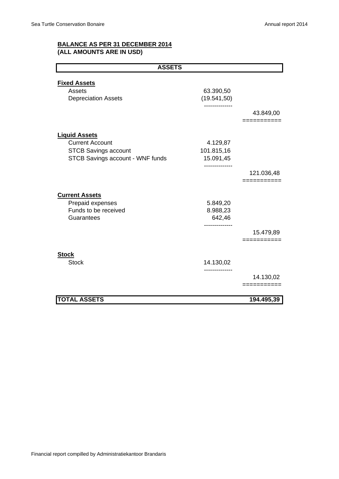## **BALANCE AS PER 31 DECEMBER 2014 (ALL AMOUNTS ARE IN USD)**

| <b>ASSETS</b>                    |                           |             |  |  |
|----------------------------------|---------------------------|-------------|--|--|
|                                  |                           |             |  |  |
| <b>Fixed Assets</b><br>Assets    |                           |             |  |  |
| <b>Depreciation Assets</b>       | 63.390,50<br>(19.541, 50) |             |  |  |
|                                  | .                         |             |  |  |
|                                  |                           | 43.849,00   |  |  |
|                                  |                           | =========== |  |  |
|                                  |                           |             |  |  |
| <b>Liquid Assets</b>             |                           |             |  |  |
| <b>Current Account</b>           | 4.129,87                  |             |  |  |
| <b>STCB Savings account</b>      | 101.815,16                |             |  |  |
| STCB Savings account - WNF funds | 15.091,45                 |             |  |  |
|                                  |                           |             |  |  |
|                                  |                           | 121.036,48  |  |  |
|                                  |                           | ---------   |  |  |
| <b>Current Assets</b>            |                           |             |  |  |
| Prepaid expenses                 | 5.849,20                  |             |  |  |
| Funds to be received             | 8.988,23                  |             |  |  |
| Guarantees                       | 642,46                    |             |  |  |
|                                  |                           |             |  |  |
|                                  |                           | 15.479,89   |  |  |
|                                  |                           | ==========  |  |  |
| <b>Stock</b>                     |                           |             |  |  |
| <b>Stock</b>                     | 14.130,02                 |             |  |  |
|                                  |                           |             |  |  |
|                                  |                           | 14.130,02   |  |  |
|                                  |                           | ==========  |  |  |
| <b>TOTAL ASSETS</b>              |                           | 194.495,39  |  |  |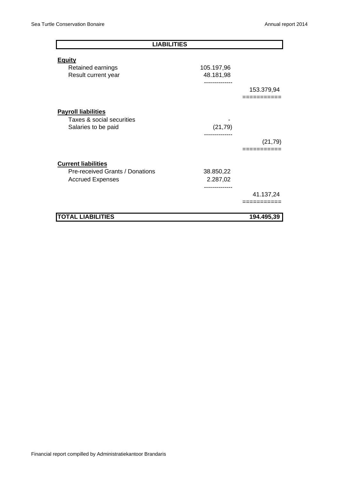| <b>LIABILITIES</b>                                         |                                                  |                         |
|------------------------------------------------------------|--------------------------------------------------|-------------------------|
| <b>Equity</b>                                              |                                                  |                         |
| Retained earnings<br>Result current year                   | 105.197,96<br>48.181,98<br>-------------         |                         |
|                                                            |                                                  | 153.379,94<br>:======== |
| <b>Payroll liabilities</b>                                 |                                                  |                         |
| Taxes & social securities<br>Salaries to be paid           | (21, 79)                                         |                         |
|                                                            |                                                  | (21, 79)                |
| <b>Current liabilities</b>                                 |                                                  |                         |
| Pre-received Grants / Donations<br><b>Accrued Expenses</b> | 38.850,22<br>2.287,02<br>. - - - - - - - - - - - |                         |
|                                                            |                                                  | 41.137,24<br>:========  |
| <b>TOTAL LIABILITIES</b>                                   |                                                  | 194.495,39              |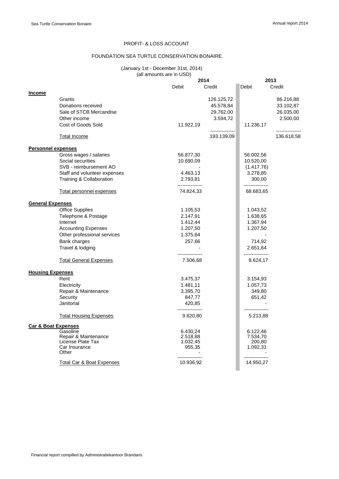#### PROFIT- & LOSS ACCOUNT

#### FOUNDATION SEA TURTLE CONSERVATION BONAIRE.

#### (January 1st - December 31st, 2014) (all amounts are in USD)

|                                |                                           |                             | 2014            | 2013                        |            |
|--------------------------------|-------------------------------------------|-----------------------------|-----------------|-----------------------------|------------|
|                                |                                           | Debit                       | Credit          | Debit                       | Credit     |
| <b>Income</b>                  |                                           |                             |                 |                             |            |
|                                | Grants                                    |                             | 126.125,72      |                             | 86.216,88  |
|                                | Donations received                        |                             | 45.578,84       |                             | 33.102,87  |
|                                | Sale of STCB Mercandise                   |                             | 29.762,00       |                             | 26.035,00  |
|                                | Other income                              |                             | 3.594,72        |                             | 2.500,00   |
|                                | Cost of Goods Sold                        | 11.922,19                   |                 | 11.236,17                   |            |
|                                |                                           |                             | --------------- |                             |            |
|                                | Total Income                              |                             | 193.139,09      |                             | 136.618,58 |
| <b>Personnel expenses</b>      |                                           |                             |                 |                             |            |
|                                | Gross wages / salaries                    | 56.877,30                   |                 | 56.002,56                   |            |
|                                | Social securities                         | 10.690,09                   |                 | 10.520,00                   |            |
|                                | SVB - reimbursement AO                    |                             |                 | (1.417,76)                  |            |
|                                | Staff and volunteer expenses              | 4.463,13                    |                 | 3.278,85                    |            |
|                                | Training & Collaboration                  | 2.793,81<br>--------------- |                 | 300,00<br>---------------   |            |
|                                | Total personnel expenses                  | 74.824,33                   |                 | 68.683,65                   |            |
| <b>General Expenses</b>        |                                           |                             |                 |                             |            |
|                                | <b>Office Supplies</b>                    | 1.105,53                    |                 | 1.043,52                    |            |
|                                | Telephone & Postage                       | 2.147,91                    |                 | 1.638,65                    |            |
|                                | Internet                                  | 1.412,44                    |                 | 1.367,94                    |            |
|                                | <b>Accounting Expenses</b>                | 1.207,50                    |                 | 1.207,50                    |            |
|                                | Other professional services               | 1.375,64                    |                 |                             |            |
|                                | Bank charges                              | 257,66                      |                 | 714,92                      |            |
|                                | Travel & lodging                          |                             |                 | 2.651,64                    |            |
|                                | <b>Total General Expenses</b>             | 7.506,68                    |                 | ---------------<br>8.624,17 |            |
| <b>Housing Expenses</b>        |                                           |                             |                 |                             |            |
|                                | Rent                                      | 3.475,37                    |                 | 3.154,93                    |            |
|                                | Electricity                               | 1.481,11                    |                 | 1.057,73                    |            |
|                                | Repair & Maintenance                      | 3.395,70                    |                 | 349,80                      |            |
|                                | Security                                  | 847,77                      |                 | 651,42                      |            |
|                                | Janitorial                                | 420,85<br>---------------   |                 | ---------------             |            |
|                                | <b>Total Housing Expenses</b>             | 9.620,80                    |                 | 5.213,88                    |            |
| <b>Car &amp; Boat Expenses</b> |                                           |                             |                 |                             |            |
|                                | Gasoline                                  | 6.430,24                    |                 | 6.122,46                    |            |
|                                | Repair & Maintenance<br>License Plate Tax | 2.518,88<br>1.032,45        |                 | 7.534,70<br>200,80          |            |
|                                | Car Insurance                             | 955,35                      |                 | 1.092,31                    |            |
|                                | Other                                     |                             |                 |                             |            |
|                                | <b>Total Car &amp; Boat Expenses</b>      | 10.936,92                   |                 | 14.950,27                   |            |
|                                |                                           |                             |                 |                             |            |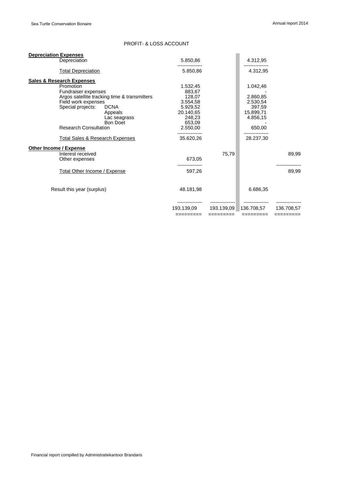#### PROFIT- & LOSS ACCOUNT

| <b>Depreciation Expenses</b>                                                                                 |                                                                                                           |                                                                                                   |            |                                                                               |            |
|--------------------------------------------------------------------------------------------------------------|-----------------------------------------------------------------------------------------------------------|---------------------------------------------------------------------------------------------------|------------|-------------------------------------------------------------------------------|------------|
| Depreciation                                                                                                 |                                                                                                           | 5.850,86                                                                                          |            | 4.312,95                                                                      |            |
| <b>Total Depreciation</b>                                                                                    |                                                                                                           | 5.850,86                                                                                          |            | 4.312,95                                                                      |            |
| <b>Sales &amp; Research Expenses</b>                                                                         |                                                                                                           |                                                                                                   |            |                                                                               |            |
| Promotion<br>Fundraiser expenses<br>Field work expenses<br>Special projects:<br><b>Research Consultation</b> | Argos satellite tracking time & transmitters<br><b>DCNA</b><br>Appeals<br>Lac seagrass<br><b>Bon Doet</b> | 1.532,45<br>883,67<br>128,07<br>3.554,58<br>5.929,52<br>20.140.65<br>248,23<br>653,09<br>2.550,00 |            | 1.042,46<br>2.860,85<br>2.530,54<br>397,59<br>15.899.71<br>4.856,15<br>650,00 |            |
| <b>Total Sales &amp; Research Expenses</b>                                                                   |                                                                                                           | 35.620,26                                                                                         |            | 28.237,30                                                                     |            |
| <b>Other Income / Expense</b>                                                                                |                                                                                                           |                                                                                                   |            |                                                                               |            |
| Interest received<br>Other expenses                                                                          |                                                                                                           | 673,05                                                                                            | 75,79      |                                                                               | 89,99      |
|                                                                                                              |                                                                                                           |                                                                                                   |            |                                                                               |            |
| Total Other Income / Expense                                                                                 |                                                                                                           | 597,26                                                                                            |            |                                                                               | 89,99      |
| Result this year (surplus)                                                                                   |                                                                                                           | 48.181,98                                                                                         |            | 6.686,35                                                                      |            |
|                                                                                                              |                                                                                                           | 193.139,09                                                                                        | 193.139.09 | 136.708.57                                                                    | 136.708.57 |
|                                                                                                              |                                                                                                           | =========                                                                                         | =========  | =========                                                                     | =========  |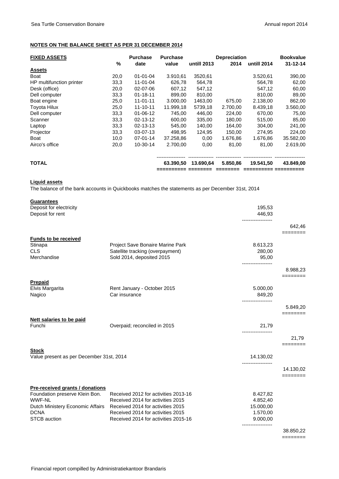#### **NOTES ON THE BALANCE SHEET AS PER 31 DECEMBER 2014**

| <b>FIXED ASSETS</b>      |      | <b>Purchase</b> | <b>Purchase</b> |             | <b>Depreciation</b> |             | <b>Bookvalue</b> |
|--------------------------|------|-----------------|-----------------|-------------|---------------------|-------------|------------------|
|                          | $\%$ | date            | value           | untill 2013 | 2014                | untill 2014 | $31 - 12 - 14$   |
| <b>Assets</b>            |      |                 |                 |             |                     |             |                  |
| Boat                     | 20,0 | $01 - 01 - 04$  | 3.910,61        | 3520,61     |                     | 3.520,61    | 390,00           |
| HP multifunction printer | 33,3 | 11-01-04        | 626,78          | 564,78      |                     | 564.78      | 62,00            |
| Desk (office)            | 20,0 | 02-07-06        | 607,12          | 547,12      |                     | 547,12      | 60,00            |
| Dell computer            | 33,3 | $01 - 18 - 11$  | 899.00          | 810.00      |                     | 810,00      | 89,00            |
| Boat engine              | 25,0 | $11 - 01 - 11$  | 3.000.00        | 1463,00     | 675,00              | 2.138,00    | 862,00           |
| <b>Toyota Hilux</b>      | 25,0 | $11 - 10 - 11$  | 11.999,18       | 5739,18     | 2.700,00            | 8.439,18    | 3.560,00         |
| Dell computer            | 33,3 | $01 - 06 - 12$  | 745.00          | 446.00      | 224,00              | 670,00      | 75,00            |
| Scanner                  | 33,3 | 02-13-12        | 600,00          | 335,00      | 180,00              | 515,00      | 85,00            |
| Laptop                   | 33,3 | 02-13-13        | 545.00          | 140.00      | 164.00              | 304.00      | 241,00           |
| Projector                | 33,3 | 03-07-13        | 498,95          | 124,95      | 150,00              | 274,95      | 224,00           |
| Boat                     | 10,0 | 07-01-14        | 37.258,86       | 0,00        | 1.676,86            | 1.676,86    | 35.582,00        |
| Airco's office           | 20,0 | $10-30-14$      | 2.700,00        | 0,00        | 81,00               | 81,00       | 2.619,00         |
| <b>TOTAL</b>             |      |                 | 63.390.50       | 13.690.64   | 5.850,86            | 19.541,50   | 43.849,00        |
|                          |      |                 |                 |             |                     |             |                  |

#### **Liquid assets**

The balance of the bank accounts in Quickbooks matches the statements as per December 31st, 2014

| <b>Guarantees</b>                           |                                      |                    |                   |
|---------------------------------------------|--------------------------------------|--------------------|-------------------|
| Deposit for electricity<br>Deposit for rent |                                      | 195,53<br>446,93   |                   |
|                                             |                                      | ------------------ | 642,46            |
| <b>Funds to be received</b>                 |                                      |                    |                   |
| Stinapa                                     | Project Save Bonaire Marine Park     | 8.613,23           |                   |
| <b>CLS</b>                                  | Satellite tracking (overpayment)     | 280,00             |                   |
| Merchandise                                 | Sold 2014, deposited 2015            | 95,00              |                   |
|                                             |                                      |                    | 8.988,23          |
| Prepaid                                     |                                      |                    | ========          |
| Elvis Margarita                             | Rent January - October 2015          | 5.000,00           |                   |
| Nagico                                      | Car insurance                        | 849,20             |                   |
|                                             |                                      | ------------------ |                   |
|                                             |                                      |                    | 5.849,20          |
| <b>Nett salaries to be paid</b>             |                                      |                    | ========          |
| Funchi                                      | Overpaid; reconciled in 2015         | 21,79              |                   |
|                                             |                                      |                    |                   |
|                                             |                                      |                    | 21,79<br>======== |
| <b>Stock</b>                                |                                      |                    |                   |
| Value present as per December 31st, 2014    |                                      | 14.130,02          |                   |
|                                             |                                      |                    | 14.130,02         |
|                                             |                                      |                    | ========          |
| Pre-received grants / donations             |                                      |                    |                   |
| Foundation preserve Klein Bon.              | Received 2012 for activities 2013-16 | 8.427,82           |                   |
| <b>WWF-NL</b>                               | Received 2014 for activities 2015    | 4.852,40           |                   |
| Dutch Ministery Economic Affairs            | Received 2014 for activities 2015    | 15.000,00          |                   |
| <b>DCNA</b>                                 | Received 2014 for activities 2015    | 1.570,00           |                   |
| <b>STCB</b> auction                         | Received 2014 for activities 2015-16 | 9.000,00           |                   |
|                                             |                                      |                    | 38.850,22         |

========